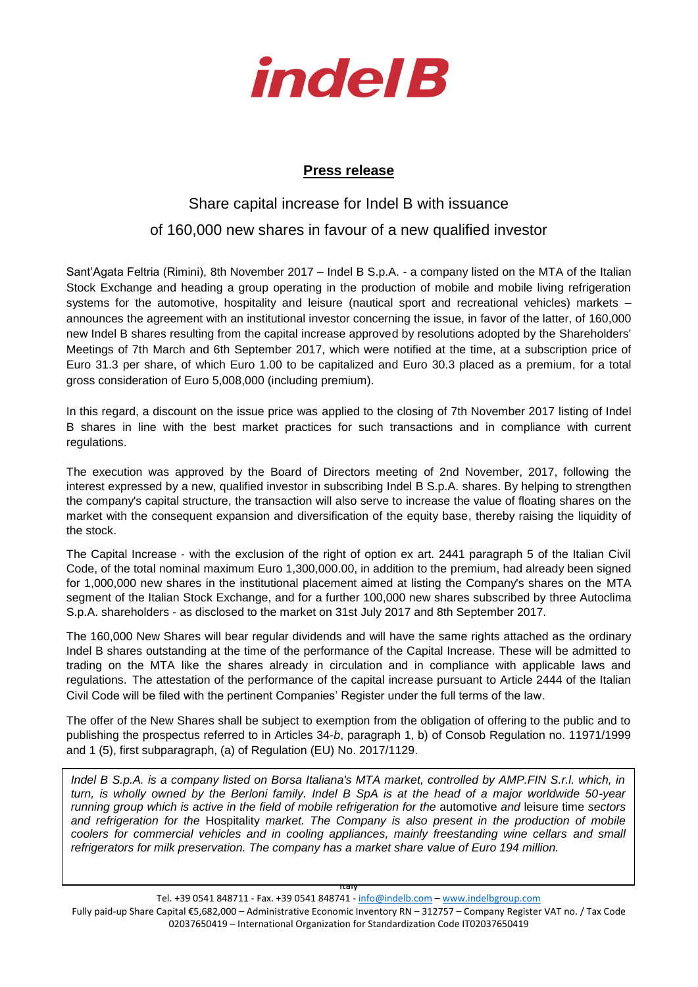

## **Press release**

## Share capital increase for Indel B with issuance

## of 160,000 new shares in favour of a new qualified investor

Sant'Agata Feltria (Rimini), 8th November 2017 – Indel B S.p.A. - a company listed on the MTA of the Italian Stock Exchange and heading a group operating in the production of mobile and mobile living refrigeration systems for the automotive, hospitality and leisure (nautical sport and recreational vehicles) markets – announces the agreement with an institutional investor concerning the issue, in favor of the latter, of 160,000 new Indel B shares resulting from the capital increase approved by resolutions adopted by the Shareholders' Meetings of 7th March and 6th September 2017, which were notified at the time, at a subscription price of Euro 31.3 per share, of which Euro 1.00 to be capitalized and Euro 30.3 placed as a premium, for a total gross consideration of Euro 5,008,000 (including premium).

In this regard, a discount on the issue price was applied to the closing of 7th November 2017 listing of Indel B shares in line with the best market practices for such transactions and in compliance with current regulations.

The execution was approved by the Board of Directors meeting of 2nd November, 2017, following the interest expressed by a new, qualified investor in subscribing Indel B S.p.A. shares. By helping to strengthen the company's capital structure, the transaction will also serve to increase the value of floating shares on the market with the consequent expansion and diversification of the equity base, thereby raising the liquidity of the stock.

The Capital Increase - with the exclusion of the right of option ex art. 2441 paragraph 5 of the Italian Civil Code, of the total nominal maximum Euro 1,300,000.00, in addition to the premium, had already been signed for 1,000,000 new shares in the institutional placement aimed at listing the Company's shares on the MTA segment of the Italian Stock Exchange, and for a further 100,000 new shares subscribed by three Autoclima S.p.A. shareholders - as disclosed to the market on 31st July 2017 and 8th September 2017.

The 160,000 New Shares will bear regular dividends and will have the same rights attached as the ordinary Indel B shares outstanding at the time of the performance of the Capital Increase. These will be admitted to trading on the MTA like the shares already in circulation and in compliance with applicable laws and regulations. The attestation of the performance of the capital increase pursuant to Article 2444 of the Italian Civil Code will be filed with the pertinent Companies' Register under the full terms of the law.

The offer of the New Shares shall be subject to exemption from the obligation of offering to the public and to publishing the prospectus referred to in Articles 34-*b*, paragraph 1, b) of Consob Regulation no. 11971/1999 and 1 (5), first subparagraph, (a) of Regulation (EU) No. 2017/1129.

and reingeration for the Hospitality market. The Company is also present in the production of mobile<br>coolers for commercial vehicles and in cooling appliances, mainly freestanding wine cellars and small *Indel B S.p.A. is a company listed on Borsa Italiana's MTA market, controlled by AMP.FIN S.r.l. which, in turn, is wholly owned by the Berloni family. Indel B SpA is at the head of a major worldwide 50-year running group which is active in the field of mobile refrigeration for the automotive and leisure time sectors and refrigeration for the* Hospitality *market. The Company is also present in the production of mobile refrigerators for milk preservation. The company has a market share value of Euro 194 million.* 

Italy

Tel. +39 0541 848711 - Fax. +39 0541 848741 - [info@indelb.com](mailto:info@indelb.com) – [www.indelbgroup.com](http://www.indelbgroup.com/) Fully paid-up Share Capital €5,682,000 – Administrative Economic Inventory RN – 312757 – Company Register VAT no. / Tax Code 02037650419 – International Organization for Standardization Code IT02037650419